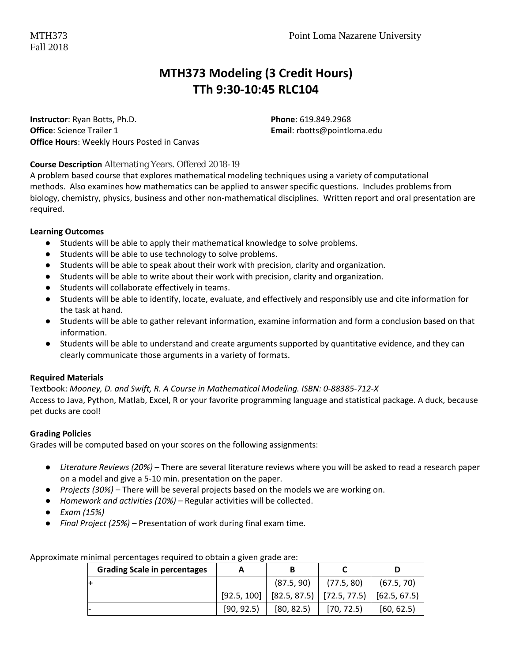# **MTH373 Modeling (3 Credit Hours) TTh 9:30-10:45 RLC104**

**Instructor**: Ryan Botts, Ph.D. **Phone**: 619.849.2968 **Office**: Science Trailer 1 **Email**[: rbotts@pointloma.edu](mailto:rbotts@pointloma.edu) **Office Hours**: Weekly Hours Posted in Canvas

# **Course Description** Alternating Years. Offered 2018-19

A problem based course that explores mathematical modeling techniques using a variety of computational methods. Also examines how mathematics can be applied to answer specific questions. Includes problems from biology, chemistry, physics, business and other non-mathematical disciplines. Written report and oral presentation are required.

#### **Learning Outcomes**

- Students will be able to apply their mathematical knowledge to solve problems.
- Students will be able to use technology to solve problems.
- Students will be able to speak about their work with precision, clarity and organization.
- Students will be able to write about their work with precision, clarity and organization.
- Students will collaborate effectively in teams.
- Students will be able to identify, locate, evaluate, and effectively and responsibly use and cite information for the task at hand.
- Students will be able to gather relevant information, examine information and form a conclusion based on that information.
- Students will be able to understand and create arguments supported by quantitative evidence, and they can clearly communicate those arguments in a variety of formats.

# **Required Materials**

Textbook: *Mooney, D. and Swift, R. A Course in Mathematical Modeling. ISBN: 0-88385-712-X* Access to Java, Python, Matlab, Excel, R or your favorite programming language and statistical package. A duck, because pet ducks are cool!

#### **Grading Policies**

Grades will be computed based on your scores on the following assignments:

- *Literature Reviews (20%)* There are several literature reviews where you will be asked to read a research paper on a model and give a 5-10 min. presentation on the paper.
- *Projects (30%) –* There will be several projects based on the models we are working on.
- *Homework and activities (10%) –* Regular activities will be collected.
- *Exam (15%)*
- *Final Project (25%) –* Presentation of work during final exam time.

| <b>Grading Scale in percentages</b> |            |                                             |            |              |
|-------------------------------------|------------|---------------------------------------------|------------|--------------|
| l+                                  |            | (87.5, 90)                                  | (77.5, 80) | (67.5, 70)   |
|                                     |            | $[92.5, 100]$ $[82.5, 87.5]$ $[72.5, 77.5]$ |            | [62.5, 67.5] |
|                                     | [90, 92.5] | [80, 82.5]                                  | [70, 72.5] | [60, 62.5]   |

Approximate minimal percentages required to obtain a given grade are: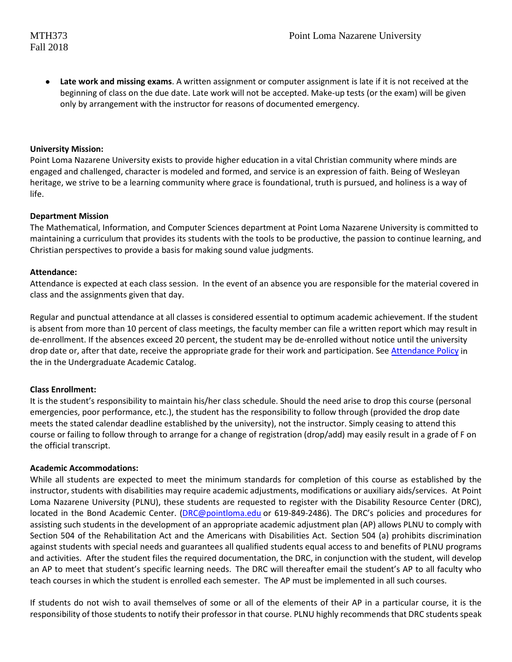● **Late work and missing exams**. A written assignment or computer assignment is late if it is not received at the beginning of class on the due date. Late work will not be accepted. Make-up tests (or the exam) will be given only by arrangement with the instructor for reasons of documented emergency.

#### **University Mission:**

Point Loma Nazarene University exists to provide higher education in a vital Christian community where minds are engaged and challenged, character is modeled and formed, and service is an expression of faith. Being of Wesleyan heritage, we strive to be a learning community where grace is foundational, truth is pursued, and holiness is a way of life.

#### **Department Mission**

The Mathematical, Information, and Computer Sciences department at Point Loma Nazarene University is committed to maintaining a curriculum that provides its students with the tools to be productive, the passion to continue learning, and Christian perspectives to provide a basis for making sound value judgments.

#### **Attendance:**

Attendance is expected at each class session. In the event of an absence you are responsible for the material covered in class and the assignments given that day.

Regular and punctual attendance at all classes is considered essential to optimum academic achievement. If the student is absent from more than 10 percent of class meetings, the faculty member can file a written report which may result in de-enrollment. If the absences exceed 20 percent, the student may be de-enrolled without notice until the university drop date or, after that date, receive the appropriate grade for their work and participation. See [Attendance](https://catalog.pointloma.edu/content.php?catoid=28&navoid=1761#Class_Attendance) Policy in the in the Undergraduate Academic Catalog.

#### **Class Enrollment:**

It is the student's responsibility to maintain his/her class schedule. Should the need arise to drop this course (personal emergencies, poor performance, etc.), the student has the responsibility to follow through (provided the drop date meets the stated calendar deadline established by the university), not the instructor. Simply ceasing to attend this course or failing to follow through to arrange for a change of registration (drop/add) may easily result in a grade of F on the official transcript.

#### **Academic Accommodations:**

While all students are expected to meet the minimum standards for completion of this course as established by the instructor, students with disabilities may require academic adjustments, modifications or auxiliary aids/services. At Point Loma Nazarene University (PLNU), these students are requested to register with the Disability Resource Center (DRC), located in the Bond Academic Center. [\(DRC@pointloma.edu](mailto:DRC@pointloma.edu) or 619-849-2486). The DRC's policies and procedures for assisting such students in the development of an appropriate academic adjustment plan (AP) allows PLNU to comply with Section 504 of the Rehabilitation Act and the Americans with Disabilities Act. Section 504 (a) prohibits discrimination against students with special needs and guarantees all qualified students equal access to and benefits of PLNU programs and activities. After the student files the required documentation, the DRC, in conjunction with the student, will develop an AP to meet that student's specific learning needs. The DRC will thereafter email the student's AP to all faculty who teach courses in which the student is enrolled each semester. The AP must be implemented in all such courses.

If students do not wish to avail themselves of some or all of the elements of their AP in a particular course, it is the responsibility of those students to notify their professor in that course. PLNU highly recommends that DRC students speak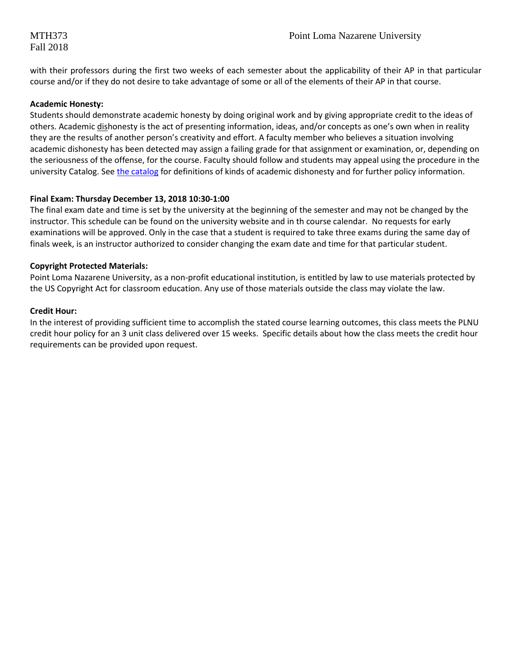# Fall 2018

with their professors during the first two weeks of each semester about the applicability of their AP in that particular course and/or if they do not desire to take advantage of some or all of the elements of their AP in that course.

#### **Academic Honesty:**

Students should demonstrate academic honesty by doing original work and by giving appropriate credit to the ideas of others. Academic dishonesty is the act of presenting information, ideas, and/or concepts as one's own when in reality they are the results of another person's creativity and effort. A faculty member who believes a situation involving academic dishonesty has been detected may assign a failing grade for that assignment or examination, or, depending on the seriousness of the offense, for the course. Faculty should follow and students may appeal using the procedure in the university Catalog. Se[e the catalog](https://catalog.pointloma.edu/content.php?catoid=28&navoid=1761#Academic_Honesty) for definitions of kinds of academic dishonesty and for further policy information.

# **Final Exam: Thursday December 13, 2018 10:30-1:00**

The final exam date and time is set by the university at the beginning of the semester and may not be changed by the instructor. This schedule can be found on the university website and in th course calendar. No requests for early examinations will be approved. Only in the case that a student is required to take three exams during the same day of finals week, is an instructor authorized to consider changing the exam date and time for that particular student.

# **Copyright Protected Materials:**

Point Loma Nazarene University, as a non-profit educational institution, is entitled by law to use materials protected by the US Copyright Act for classroom education. Any use of those materials outside the class may violate the law.

# **Credit Hour:**

In the interest of providing sufficient time to accomplish the stated course learning outcomes, this class meets the PLNU credit hour policy for an 3 unit class delivered over 15 weeks. Specific details about how the class meets the credit hour requirements can be provided upon request.